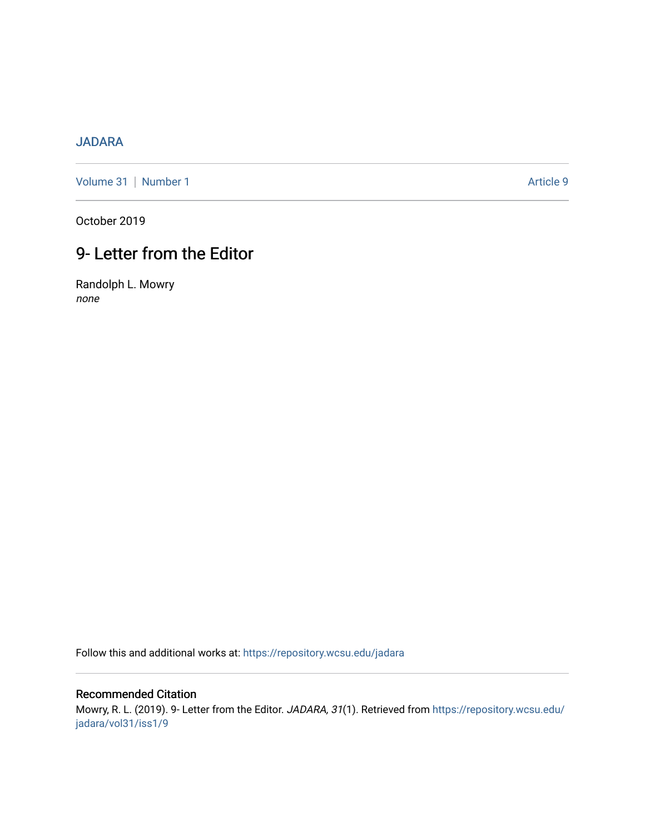## [JADARA](https://repository.wcsu.edu/jadara)

[Volume 31](https://repository.wcsu.edu/jadara/vol31) | [Number 1](https://repository.wcsu.edu/jadara/vol31/iss1) Article 9

October 2019

# 9- Letter from the Editor

Randolph L. Mowry none

Follow this and additional works at: [https://repository.wcsu.edu/jadara](https://repository.wcsu.edu/jadara?utm_source=repository.wcsu.edu%2Fjadara%2Fvol31%2Fiss1%2F9&utm_medium=PDF&utm_campaign=PDFCoverPages)

## Recommended Citation

Mowry, R. L. (2019). 9- Letter from the Editor. JADARA, 31(1). Retrieved from [https://repository.wcsu.edu/](https://repository.wcsu.edu/jadara/vol31/iss1/9?utm_source=repository.wcsu.edu%2Fjadara%2Fvol31%2Fiss1%2F9&utm_medium=PDF&utm_campaign=PDFCoverPages) [jadara/vol31/iss1/9](https://repository.wcsu.edu/jadara/vol31/iss1/9?utm_source=repository.wcsu.edu%2Fjadara%2Fvol31%2Fiss1%2F9&utm_medium=PDF&utm_campaign=PDFCoverPages)